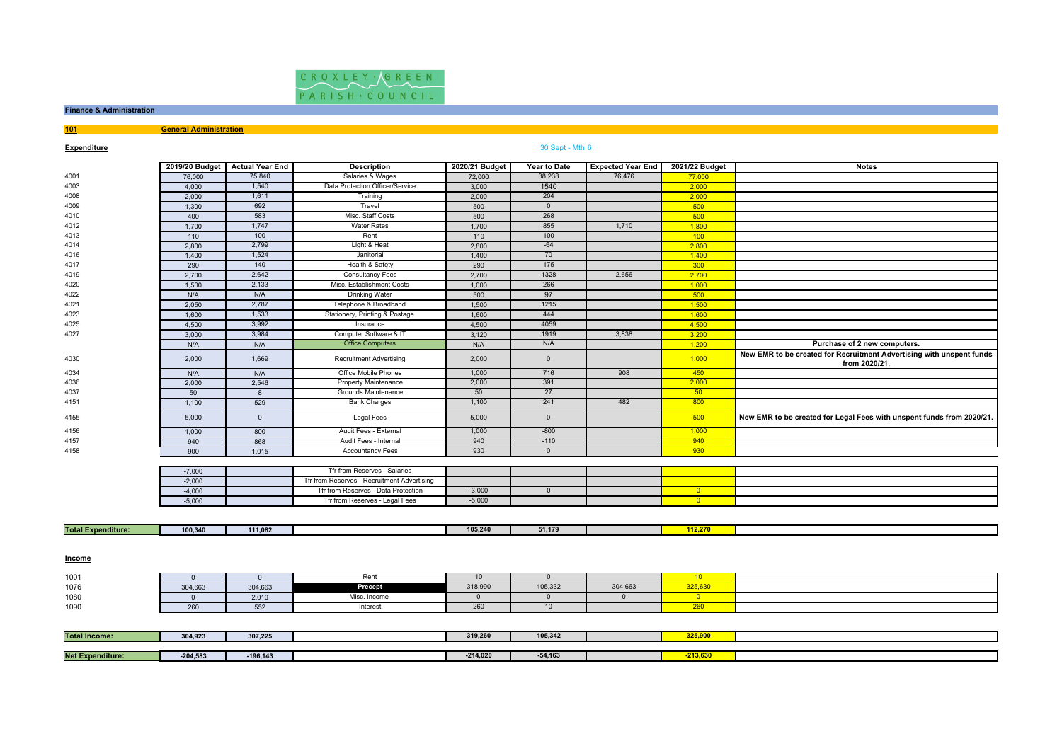

# **Finance & Administration**

**101General Administration**

## **Expenditure**

## 30 Sept - Mth <sup>6</sup>

|                           |                | 2019/20 Budget   Actual Year End | <b>Description</b>                          | 2020/21 Budget | Year to Date   | <b>Expected Year End</b> | 2021/22 Budget           | <b>Notes</b>                                                                          |
|---------------------------|----------------|----------------------------------|---------------------------------------------|----------------|----------------|--------------------------|--------------------------|---------------------------------------------------------------------------------------|
| 4001                      | 76,000         | 75,840                           | Salaries & Wages                            | 72,000         | 38,238         | 76,476                   | 77,000                   |                                                                                       |
| 4003                      | 4,000          | 1,540                            | Data Protection Officer/Service             | 3,000          | 1540           |                          | 2,000                    |                                                                                       |
| 4008                      | 2,000          | 1,611                            | Training                                    | 2,000          | 204            |                          | 2,000                    |                                                                                       |
| 4009                      | 1,300          | 692                              | Travel                                      | 500            | $\overline{0}$ |                          | 500                      |                                                                                       |
| 4010                      | 400            | 583                              | Misc. Staff Costs                           | 500            | 268            |                          | 500                      |                                                                                       |
| 4012                      | 1,700          | 1,747                            | <b>Water Rates</b>                          | 1,700          | 855            | 1,710                    | 1,800                    |                                                                                       |
| 4013                      | 110            | 100                              | Rent                                        | 110            | 100            |                          | 100                      |                                                                                       |
| 4014                      | 2,800          | 2,799                            | Light & Heat                                | 2.800          | $-64$          |                          | 2,800                    |                                                                                       |
| 4016                      | 1,400          | 1,524                            | Janitorial                                  | 1,400          | 70             |                          | 1,400                    |                                                                                       |
| 4017                      | 290            | 140                              | Health & Safety                             | 290            | 175            |                          | 300                      |                                                                                       |
| 4019                      | 2,700          | 2,642                            | <b>Consultancy Fees</b>                     | 2,700          | 1328           | 2,656                    | 2,700                    |                                                                                       |
| 4020                      | 1,500          | 2,133                            | Misc. Establishment Costs                   | 1,000          | 266            |                          | 1,000                    |                                                                                       |
| 4022                      | N/A            | N/A                              | Drinking Water                              | 500            | 97             |                          | 500                      |                                                                                       |
| 4021                      | 2,050          | 2,787                            | Telephone & Broadband                       | 1,500          | 1215           |                          | 1,500                    |                                                                                       |
| 4023                      | 1,600          | 1,533                            | Stationery, Printing & Postage              | 1,600          | 444            |                          | 1.600                    |                                                                                       |
| 4025                      | 4,500          | 3,992                            | Insurance                                   | 4,500          | 4059           |                          | 4,500                    |                                                                                       |
| 4027                      | 3,000          | 3,984                            | Computer Software & IT                      | 3,120          | 1919           | 3,838                    | 3,200                    |                                                                                       |
|                           | N/A            | N/A                              | <b>Office Computers</b>                     | N/A            | N/A            |                          | 1,200                    | Purchase of 2 new computers.                                                          |
| 4030                      | 2,000          | 1,669                            | <b>Recruitment Advertising</b>              | 2,000          | $\overline{0}$ |                          | 1,000                    | New EMR to be created for Recruitment Advertising with unspent funds<br>from 2020/21. |
| 4034                      | N/A            | N/A                              | Office Mobile Phones                        | 1,000          | 716            | 908                      | 450                      |                                                                                       |
| 4036                      | 2,000          | 2,546                            | Property Maintenance                        | 2,000          | 391            |                          | 2,000                    |                                                                                       |
| 4037                      | 50             | 8                                | Grounds Maintenance                         | 50             | 27             |                          | 50 <sub>5</sub>          |                                                                                       |
| 4151                      | 1,100          | 529                              | <b>Bank Charges</b>                         | 1,100          | 241            | 482                      | 800                      |                                                                                       |
| 4155                      | 5,000          | $\mathsf 0$                      | Legal Fees                                  | 5,000          | $\overline{0}$ |                          | 500                      | New EMR to be created for Legal Fees with unspent funds from 2020/21                  |
| 4156                      | 1,000          | 800                              | Audit Fees - External                       | 1,000          | $-800$         |                          | 1,000                    |                                                                                       |
| 4157                      | 940            | 868                              | Audit Fees - Internal                       | 940            | $-110$         |                          | 940                      |                                                                                       |
| 4158                      | 900            | 1,015                            | <b>Accountancy Fees</b>                     | 930            | $\overline{0}$ |                          | 930                      |                                                                                       |
|                           |                |                                  |                                             |                |                |                          |                          |                                                                                       |
|                           | $-7,000$       |                                  | Tfr from Reserves - Salaries                |                |                |                          |                          |                                                                                       |
|                           | $-2,000$       |                                  | Tfr from Reserves - Recruitment Advertising |                |                |                          |                          |                                                                                       |
|                           | $-4.000$       |                                  | Tfr from Reserves - Data Protection         | $-3,000$       | $\overline{0}$ |                          | $\overline{\mathbf{0}}$  |                                                                                       |
|                           | $-5,000$       |                                  | Tfr from Reserves - Legal Fees              | $-5,000$       |                |                          | $\overline{\phantom{0}}$ |                                                                                       |
|                           |                |                                  |                                             |                |                |                          |                          |                                                                                       |
| <b>Total Expenditure:</b> | 100,340        | 111,082                          |                                             | 105,240        | 51,179         |                          | 112,270                  |                                                                                       |
| <b>Income</b>             |                |                                  |                                             |                |                |                          |                          |                                                                                       |
| 1001                      | $\overline{0}$ | $\overline{\mathbf{0}}$          | Rent                                        | 10             | $\overline{0}$ |                          | 10 <sup>°</sup>          |                                                                                       |
| 1076                      | 304,663        | 304,663                          | Precept                                     | 318,990        | 105,332        | 304,663                  | 325,630                  |                                                                                       |
| 1080                      | $\overline{0}$ | 2,010                            | Misc. Income                                | $\mathbf{0}$   | $\overline{0}$ | $\overline{0}$           | $\overline{\mathbf{0}}$  |                                                                                       |
| 1090                      | 260            | 552                              | Interest                                    | 260            | 10             |                          | 260                      |                                                                                       |
|                           |                |                                  |                                             |                |                |                          |                          |                                                                                       |
| <b>Total Income:</b>      | 304,923        | 307,225                          |                                             | 319,260        | 105,342        |                          | 325,900                  |                                                                                       |
|                           |                |                                  |                                             |                |                |                          |                          |                                                                                       |
| <b>Net Expenditure:</b>   | $-204,583$     | $-196, 143$                      |                                             | $-214,020$     | $-54,163$      |                          | $-213,630$               |                                                                                       |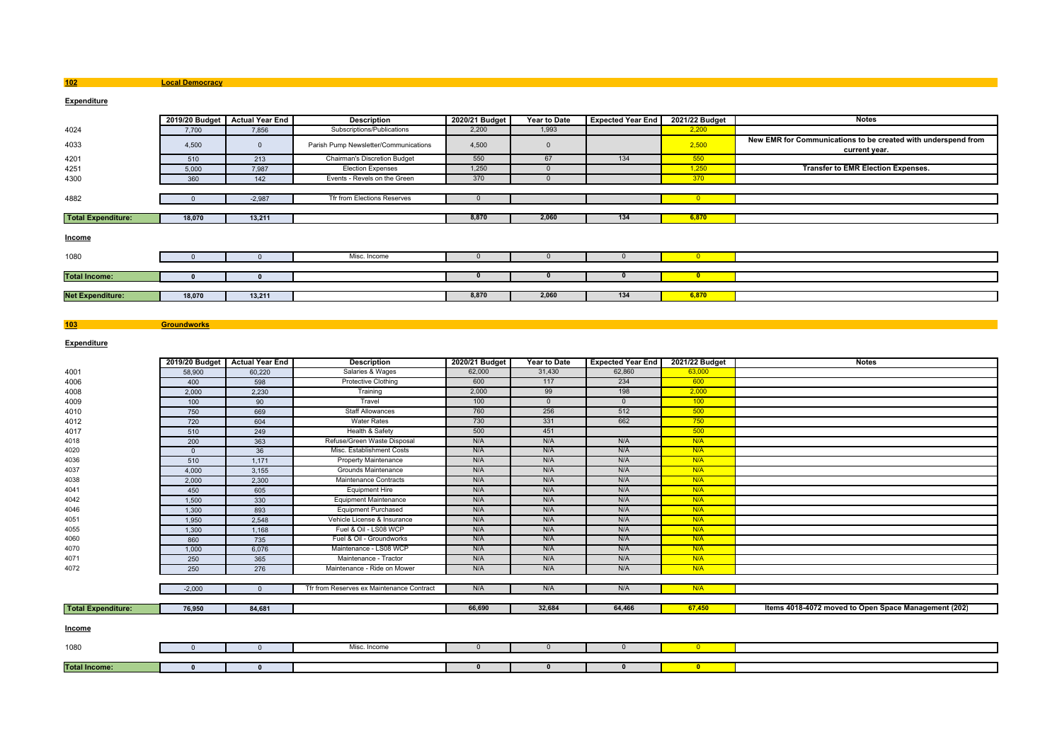**Local Democracy**

## **Expenditure**

|                           | 2019/20 Budget | <b>Actual Year End</b> | <b>Description</b>                    | 2020/21 Budget | Year to Date | <b>Expected Year End</b> | 2021/22 Budget | <b>Notes</b>                                                                   |
|---------------------------|----------------|------------------------|---------------------------------------|----------------|--------------|--------------------------|----------------|--------------------------------------------------------------------------------|
| 4024                      | 7,700          | 7,856                  | Subscriptions/Publications            | 2,200          | 1,993        |                          | 2,200          |                                                                                |
| 4033                      | 4,500          | $\Omega$               | Parish Pump Newsletter/Communications | 4,500          | $\Omega$     |                          | 2,500          | New EMR for Communications to be created with underspend from<br>current year. |
| 4201                      | 510            | 213                    | Chairman's Discretion Budget          | 550            | 67           | 134                      | 550            |                                                                                |
| 4251                      | 5,000          | 7,987                  | <b>Election Expenses</b>              | 1,250          |              |                          | 1,250          | <b>Transfer to EMR Election Expenses.</b>                                      |
| 4300                      | 360            | 142                    | Events - Revels on the Green          | 370            |              |                          | 370            |                                                                                |
|                           |                |                        |                                       |                |              |                          |                |                                                                                |
| 4882                      |                | $-2,987$               | Tfr from Elections Reserves           |                |              |                          |                |                                                                                |
|                           |                |                        |                                       |                |              |                          |                |                                                                                |
| <b>Total Expenditure:</b> | 18,070         | 13,211                 |                                       | 8,870          | 2,060        | 134                      | 6,870          |                                                                                |
| <b>Income</b>             |                |                        |                                       |                |              |                          |                |                                                                                |
| 1080                      |                |                        | Misc. Income                          |                |              |                          | $\overline{0}$ |                                                                                |
|                           |                |                        |                                       |                |              |                          |                |                                                                                |
| <b>Total Income:</b>      |                |                        |                                       |                | 0            |                          | <b>O</b>       |                                                                                |
|                           |                |                        |                                       |                |              |                          |                |                                                                                |
| <b>Net Expenditure:</b>   | 18,070         | 13,211                 |                                       | 8,870          | 2,060        | 134                      | 6,870          |                                                                                |

#### **103Groundworks**

**Expenditure**

|                           |                | 2019/20 Budget   Actual Year End | <b>Description</b>                        | 2020/21 Budget | <b>Year to Date</b> | <b>Expected Year End</b> | 2021/22 Budget          | <b>Notes</b>                                         |
|---------------------------|----------------|----------------------------------|-------------------------------------------|----------------|---------------------|--------------------------|-------------------------|------------------------------------------------------|
| 4001                      | 58,900         | 60,220                           | Salaries & Wages                          | 62,000         | 31,430              | 62,860                   | 63,000                  |                                                      |
| 4006                      | 400            | 598                              | <b>Protective Clothing</b>                | 600            | 117                 | 234                      | 600                     |                                                      |
| 4008                      | 2,000          | 2,230                            | Training                                  | 2,000          | 99                  | 198                      | 2,000                   |                                                      |
| 4009                      | 100            | 90                               | Travel                                    | 100            | $\mathbf{0}$        | $\mathbf{0}$             | 100                     |                                                      |
| 4010                      | 750            | 669                              | <b>Staff Allowances</b>                   | 760            | 256                 | 512                      | 500                     |                                                      |
| 4012                      | 720            | 604                              | <b>Water Rates</b>                        | 730            | 331                 | 662                      | 750                     |                                                      |
| 4017                      | 510            | 249                              | Health & Safety                           | 500            | 451                 |                          | 500                     |                                                      |
| 4018                      | 200            | 363                              | Refuse/Green Waste Disposal               | N/A            | N/A                 | N/A                      | N/A                     |                                                      |
| 4020                      | $\overline{0}$ | 36                               | Misc. Establishment Costs                 | N/A            | N/A                 | N/A                      | N/A                     |                                                      |
| 4036                      | 510            | 1,171                            | Property Maintenance                      | N/A            | N/A                 | N/A                      | N/A                     |                                                      |
| 4037                      | 4,000          | 3,155                            | Grounds Maintenance                       | N/A            | N/A                 | N/A                      | N/A                     |                                                      |
| 4038                      | 2,000          | 2,300                            | Maintenance Contracts                     | N/A            | N/A                 | N/A                      | N/A                     |                                                      |
| 4041                      | 450            | 605                              | <b>Equipment Hire</b>                     | N/A            | N/A                 | N/A                      | N/A                     |                                                      |
| 4042                      | 1,500          | 330                              | <b>Equipment Maintenance</b>              | N/A            | N/A                 | N/A                      | N/A                     |                                                      |
| 4046                      | 1,300          | 893                              | <b>Equipment Purchased</b>                | N/A            | N/A                 | N/A                      | N/A                     |                                                      |
| 4051                      | 1,950          | 2,548                            | Vehicle License & Insurance               | N/A            | N/A                 | N/A                      | N/A                     |                                                      |
| 4055                      | 1,300          | 1,168                            | Fuel & Oil - LS08 WCP                     | N/A            | N/A                 | N/A                      | N/A                     |                                                      |
| 4060                      | 860            | 735                              | Fuel & Oil - Groundworks                  | N/A            | N/A                 | N/A                      | N/A                     |                                                      |
| 4070                      | 1,000          | 6,076                            | Maintenance - LS08 WCP                    | N/A            | N/A                 | N/A                      | N/A                     |                                                      |
| 4071                      | 250            | 365                              | Maintenance - Tractor                     | N/A            | N/A                 | N/A                      | N/A                     |                                                      |
| 4072                      | 250            | 276                              | Maintenance - Ride on Mower               | N/A            | N/A                 | N/A                      | N/A                     |                                                      |
|                           |                |                                  |                                           |                |                     |                          |                         |                                                      |
|                           | $-2,000$       | $\Omega$                         | Tfr from Reserves ex Maintenance Contract | N/A            | N/A                 | N/A                      | N/A                     |                                                      |
|                           |                |                                  |                                           |                |                     |                          |                         |                                                      |
| <b>Total Expenditure:</b> | 76,950         | 84,681                           |                                           | 66,690         | 32,684              | 64,466                   | 67,450                  | Items 4018-4072 moved to Open Space Management (202) |
| Income                    |                |                                  |                                           |                |                     |                          |                         |                                                      |
| 1080                      | $\Omega$       |                                  | Misc. Income                              | $\Omega$       | $\Omega$            | $\Omega$                 | $\overline{0}$          |                                                      |
|                           |                |                                  |                                           |                |                     |                          |                         |                                                      |
| <b>Total Income:</b>      | $\mathbf{r}$   | $\Omega$                         |                                           | $\mathbf{0}$   | $\Omega$            | $\Omega$                 | $\overline{\mathbf{0}}$ |                                                      |

**102**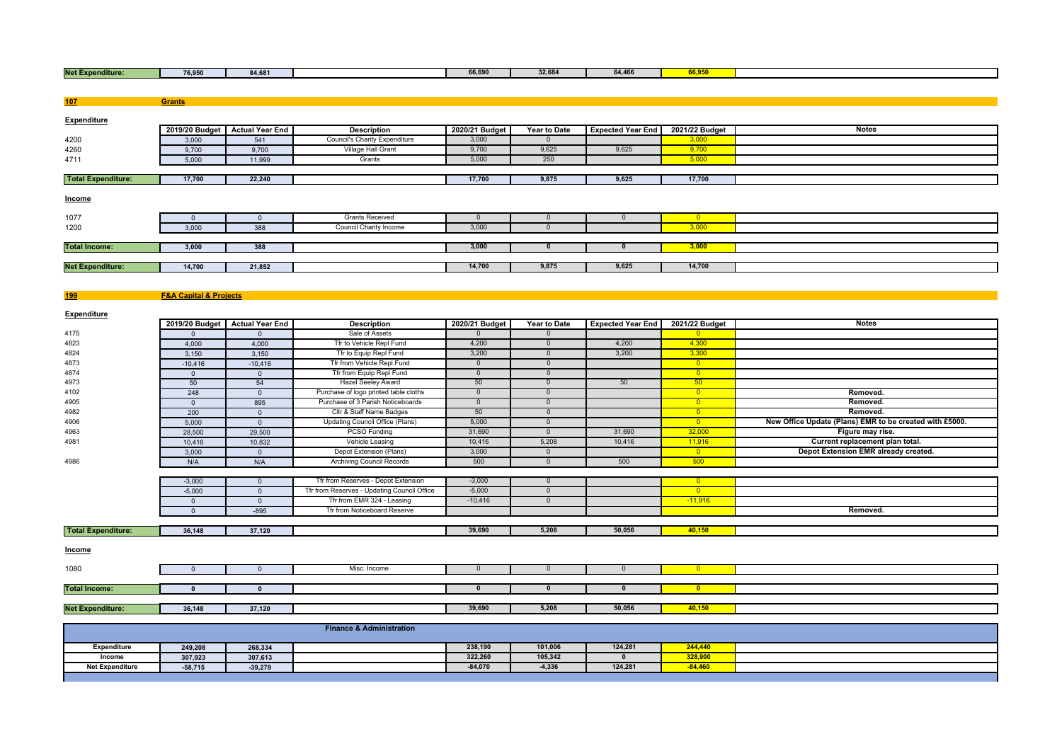|  | Net Ex<br>enditure: | 76,950 | <b>04.004</b><br> |  | 0000<br><b>00,090</b> | 0.000<br>32.68 | 64,466 | ---- |  |
|--|---------------------|--------|-------------------|--|-----------------------|----------------|--------|------|--|
|--|---------------------|--------|-------------------|--|-----------------------|----------------|--------|------|--|

| 107                       | Grants                                |                        |                                             |                |                     |                          |                         |                                                         |
|---------------------------|---------------------------------------|------------------------|---------------------------------------------|----------------|---------------------|--------------------------|-------------------------|---------------------------------------------------------|
|                           |                                       |                        |                                             |                |                     |                          |                         |                                                         |
| Expenditure               |                                       |                        |                                             |                |                     |                          |                         |                                                         |
|                           | 2019/20 Budget                        | <b>Actual Year End</b> | <b>Description</b>                          | 2020/21 Budget | <b>Year to Date</b> | <b>Expected Year End</b> | 2021/22 Budget          | <b>Notes</b>                                            |
| 4200                      | 3,000                                 | 541                    | <b>Council's Charity Expenditure</b>        | 3,000          | $\Omega$            |                          | 3.000                   |                                                         |
| 4260                      | 9,700                                 | 9,700                  | Village Hall Grant                          | 9,700          | 9,625               | 9,625                    | 9,700                   |                                                         |
| 4711                      | 5,000                                 | 11,999                 | Grants                                      | 5,000          | 250                 |                          | 5,000                   |                                                         |
| <b>Total Expenditure:</b> | 17,700                                | 22,240                 |                                             | 17,700         | 9,875               | 9,625                    | 17,700                  |                                                         |
|                           |                                       |                        |                                             |                |                     |                          |                         |                                                         |
| <b>Income</b>             |                                       |                        |                                             |                |                     |                          |                         |                                                         |
|                           |                                       |                        |                                             |                |                     |                          |                         |                                                         |
| 1077                      | $\mathbf 0$                           | $\mathbf{0}$           | <b>Grants Received</b>                      | $\mathbf{0}$   | $\mathbf{0}$        | $\overline{0}$           | $\overline{\ }$         |                                                         |
| 1200                      | 3,000                                 | 388                    | Council Charity Income                      | 3,000          | $\overline{0}$      |                          | 3,000                   |                                                         |
|                           |                                       |                        |                                             |                |                     |                          |                         |                                                         |
| <b>Total Income:</b>      | 3,000                                 | 388                    |                                             | 3,000          | $\mathbf{0}$        | $\Omega$                 | 3,000                   |                                                         |
|                           |                                       |                        |                                             |                |                     |                          |                         |                                                         |
| <b>Net Expenditure:</b>   | 14,700                                | 21,852                 |                                             | 14,700         | 9,875               | 9,625                    | 14,700                  |                                                         |
|                           |                                       |                        |                                             |                |                     |                          |                         |                                                         |
|                           |                                       |                        |                                             |                |                     |                          |                         |                                                         |
| 199                       | <b>F&amp;A Capital &amp; Projects</b> |                        |                                             |                |                     |                          |                         |                                                         |
| Expenditure               |                                       |                        |                                             |                |                     |                          |                         |                                                         |
|                           | 2019/20 Budget                        | <b>Actual Year End</b> | <b>Description</b>                          | 2020/21 Budget | Year to Date        | <b>Expected Year End</b> | 2021/22 Budget          | <b>Notes</b>                                            |
| 4175                      | $\overline{0}$                        | $\overline{0}$         | Sale of Assets                              | $\mathbf{0}$   | $\mathbf{0}$        |                          | $\overline{\mathbf{0}}$ |                                                         |
| 4823                      | 4,000                                 | 4,000                  | Tfr to Vehicle Repl Fund                    | 4,200          | $\mathbf{0}$        | 4,200                    | 4,300                   |                                                         |
| 4824                      | 3,150                                 | 3,150                  | Tfr to Equip Repl Fund                      | 3,200          | $\overline{0}$      | 3,200                    | 3,300                   |                                                         |
| 4873                      | $-10,416$                             | $-10,416$              | Tfr from Vehicle Repl Fund                  | $\overline{0}$ | $\overline{0}$      |                          | $\overline{\ }$         |                                                         |
| 4874                      | $\overline{0}$                        | $\overline{0}$         | Tfr from Equip Repl Fund                    | $\overline{0}$ | $\overline{0}$      |                          | $\overline{0}$          |                                                         |
| 4973                      | 50                                    | 54                     | <b>Hazel Seeley Award</b>                   | 50             | $\overline{0}$      | 50                       | 50                      |                                                         |
| 4102                      | 248                                   | $\mathbf 0$            | Purchase of logo printed table cloths       | $\overline{0}$ | $\overline{0}$      |                          | $\overline{\ }$         | Removed.                                                |
| 4905                      | $\overline{0}$                        | 895                    | Purchase of 3 Parish Noticeboards           | $\overline{0}$ | $\overline{0}$      |                          | $\overline{0}$          | Removed.                                                |
| 4982                      | 200                                   | $\mathbf 0$            | Cllr & Staff Name Badges                    | 50             | $\overline{0}$      |                          | $\overline{0}$          | Removed.                                                |
| 4906                      | 5,000                                 | $\mathbf{0}$           | Updating Council Office (Plans)             | 5,000          | $\mathbf{0}$        |                          | $\overline{\ }$ 0       | New Office Update (Plans) EMR to be created with £5000. |
| 4963                      | 28,500                                | 29,500                 | PCSO Funding                                | 31,690         | $\overline{0}$      | 31,690                   | 32,000                  | Figure may rise.                                        |
| 4981                      | 10,416                                | 10,832                 | Vehicle Leasing                             | 10,416         | 5,208               | 10,416                   | 11,916                  | Current replacement plan total.                         |
|                           | 3,000                                 | $\mathbf 0$            | Depot Extension (Plans)                     | 3,000          | $\overline{0}$      |                          | $\overline{\mathbf{0}}$ | Depot Extension EMR already created.                    |
| 4986                      | N/A                                   | N/A                    | <b>Archiving Council Records</b>            | 500            | $\overline{0}$      | 500                      | 500                     |                                                         |
|                           |                                       |                        |                                             |                |                     |                          |                         |                                                         |
|                           | $-3,000$                              | $\mathbf 0$            | Tfr from Reserves - Depot Extension         | $-3,000$       | $\mathbf 0$         |                          | $\overline{\mathbf{0}}$ |                                                         |
|                           | $-5,000$                              | $\mathbf 0$            | Tfr from Reserves - Updating Council Office | $-5,000$       | $\overline{0}$      |                          | $\overline{\mathbf{0}}$ |                                                         |
|                           | $\overline{0}$                        | $\overline{0}$         | Tfr from EMR 324 - Leasing                  | $-10,416$      | $\overline{0}$      |                          | $-11,916$               |                                                         |
|                           | $\mathsf 0$                           | $-895$                 | Tfr from Noticeboard Reserve                |                |                     |                          |                         | Removed.                                                |
|                           |                                       |                        |                                             |                |                     |                          |                         |                                                         |
| <b>Total Expenditure:</b> | 36,148                                | 37,120                 |                                             | 39,690         | 5,208               | 50,056                   | 40,150                  |                                                         |
|                           |                                       |                        |                                             |                |                     |                          |                         |                                                         |
| Income                    |                                       |                        |                                             |                |                     |                          |                         |                                                         |
| 1080                      | $\mathbf 0$                           | $\mathbf{0}$           | Misc. Income                                | $\mathbf 0$    | $\mathbf 0$         | $\mathbf 0$              | $\overline{0}$          |                                                         |
|                           |                                       |                        |                                             |                |                     |                          |                         |                                                         |
| <b>Total Income:</b>      | $\pmb{0}$                             | $\mathbf 0$            |                                             | $\mathbf 0$    | $\mathbf{0}$        | $\bf{0}$                 | $\bullet$               |                                                         |
|                           |                                       |                        |                                             |                |                     |                          |                         |                                                         |
| <b>Net Expenditure:</b>   | 36,148                                | 37,120                 |                                             | 39,690         | 5,208               | 50,056                   | 40,150                  |                                                         |
|                           |                                       |                        |                                             |                |                     |                          |                         |                                                         |
|                           |                                       |                        | <b>Finance &amp; Administration</b>         |                |                     |                          |                         |                                                         |
|                           |                                       |                        |                                             |                |                     |                          |                         |                                                         |
| <b>Expenditure</b>        | 249.208                               | 268,334                |                                             | 238,190        | 101,006             | 124,281                  | 244,440                 |                                                         |
| Income                    | 307,923                               | 307,613                |                                             | 322,260        | 105,342             | $\mathbf{0}$             | 328,900                 |                                                         |
| <b>Net Expenditure</b>    | $-58,715$                             | $-39,279$              |                                             | $-84,070$      | $-4,336$            | 124,281                  | $-84,460$               |                                                         |
|                           |                                       |                        |                                             |                |                     |                          |                         |                                                         |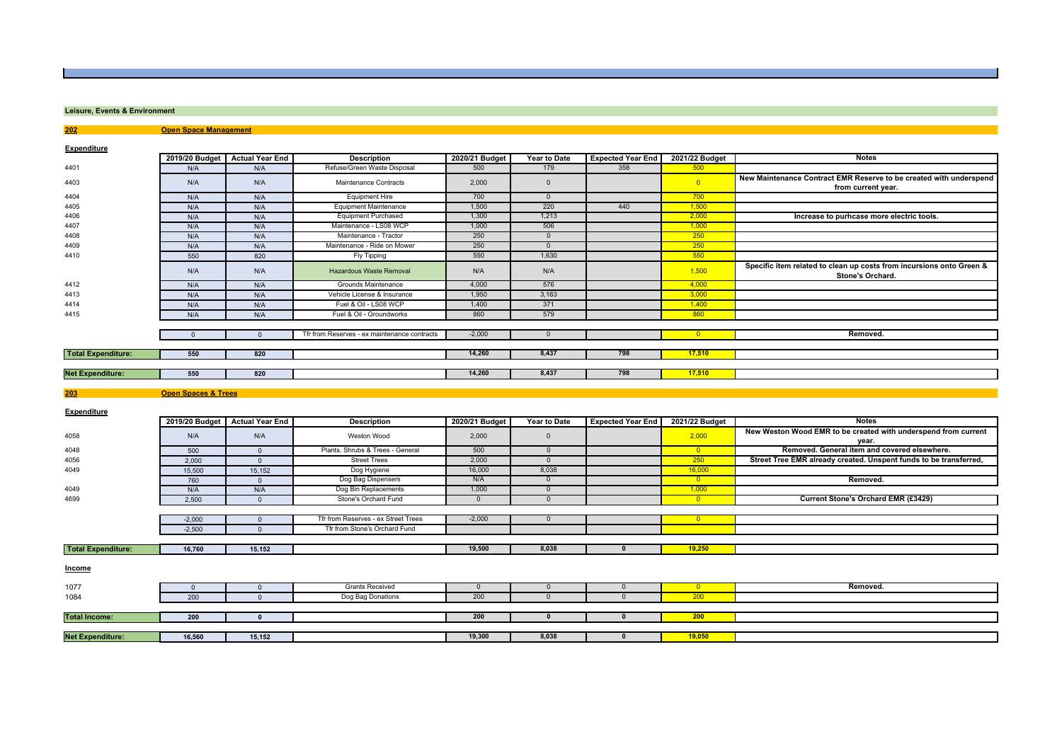## **Leisure, Events & Environment**

**202 Open Space Management**

**Expenditure**

|                           |                                | 2019/20 Budget Actual Year End | <b>Description</b>                           | 2020/21 Budget | Year to Date   | <b>Expected Year End</b> | 2021/22 Budget           | <b>Notes</b>                                                                             |
|---------------------------|--------------------------------|--------------------------------|----------------------------------------------|----------------|----------------|--------------------------|--------------------------|------------------------------------------------------------------------------------------|
| 4401                      | N/A                            | N/A                            | Refuse/Green Waste Disposal                  | 500            | 179            | 358                      | 500                      |                                                                                          |
| 4403                      | N/A                            | N/A                            | Maintenance Contracts                        | 2,000          | $\overline{0}$ |                          | $\overline{0}$           | New Maintenance Contract EMR Reserve to be created with underspend<br>from current year. |
| 4404                      | N/A                            | N/A                            | <b>Equipment Hire</b>                        | 700            | $\overline{0}$ |                          | 700                      |                                                                                          |
| 4405                      | N/A                            | N/A                            | <b>Equipment Maintenance</b>                 | 1,500          | 220            | 440                      | 1,500                    |                                                                                          |
| 4406                      | N/A                            | N/A                            | <b>Equipment Purchased</b>                   | 1,300          | 1,213          |                          | 2,000                    | Increase to purhcase more electric tools.                                                |
| 4407                      | N/A                            | N/A                            | Maintenance - LS08 WCP                       | 1,000          | 506            |                          | 1,000                    |                                                                                          |
| 4408                      | N/A                            | N/A                            | Maintenance - Tractor                        | 250            | $\overline{0}$ |                          | 250                      |                                                                                          |
| 4409                      | N/A                            | N/A                            | Maintenance - Ride on Mower                  | 250            | $\overline{0}$ |                          | 250                      |                                                                                          |
| 4410                      | 550                            | 820                            | Fly Tipping                                  | 550            | 1,630          |                          | 550                      |                                                                                          |
|                           | N/A                            | N/A                            | <b>Hazardous Waste Removal</b>               | N/A            | N/A            |                          | 1,500                    | Specific item related to clean up costs from incursions onto Green &<br>Stone's Orchard. |
| 4412                      | N/A                            | N/A                            | Grounds Maintenance                          | 4,000          | 576            |                          | 4,000                    |                                                                                          |
| 4413                      | N/A                            | N/A                            | Vehicle License & Insurance                  | 1,950          | 3,163          |                          | 3,000                    |                                                                                          |
| 4414                      | N/A                            | N/A                            | Fuel & Oil - LS08 WCP                        | 1,400          | 371            |                          | 1,400                    |                                                                                          |
| 4415                      | N/A                            | N/A                            | Fuel & Oil - Groundworks                     | 860            | 579            |                          | 860                      |                                                                                          |
|                           |                                |                                |                                              |                |                |                          |                          |                                                                                          |
|                           | $\overline{0}$                 | $\overline{0}$                 | Tfr from Reserves - ex maintenance contracts | $-2,000$       | $\mathbf{0}$   |                          | $\overline{\mathbf{0}}$  | Removed.                                                                                 |
|                           |                                |                                |                                              |                |                |                          |                          |                                                                                          |
| <b>Total Expenditure:</b> | 550                            | 820                            |                                              | 14,260         | 8,437          | 798                      | 17,510                   |                                                                                          |
|                           |                                |                                |                                              |                |                |                          |                          |                                                                                          |
| <b>Net Expenditure:</b>   | 550                            | 820                            |                                              | 14,260         | 8,437          | 798                      | 17,510                   |                                                                                          |
|                           |                                |                                |                                              |                |                |                          |                          |                                                                                          |
| 203                       | <b>Open Spaces &amp; Trees</b> |                                |                                              |                |                |                          |                          |                                                                                          |
| <b>Expenditure</b>        |                                |                                |                                              |                |                |                          |                          |                                                                                          |
|                           |                                |                                |                                              |                |                |                          |                          |                                                                                          |
|                           |                                | 2019/20 Budget Actual Year End | <b>Description</b>                           | 2020/21 Budget | Year to Date   | <b>Expected Year End</b> | 2021/22 Budget           | <b>Notes</b>                                                                             |
| 4058                      | N/A                            | N/A                            | Weston Wood                                  | 2,000          | $\mathbf 0$    |                          | 2,000                    | New Weston Wood EMR to be created with underspend from current<br>year.                  |
| 4048                      | 500                            | $\mathsf 0$                    | Plants. Shrubs & Trees - General             | 500            | $\overline{0}$ |                          | $\overline{\phantom{0}}$ | Removed. General item and covered elsewhere.                                             |
| 4056                      | 2,000                          | $\mathbf{0}$                   | <b>Street Trees</b>                          | 2,000          | $\overline{0}$ |                          | 250                      | Street Tree EMR already created. Unspent funds to be transferred,                        |
| 4049                      | 15,500                         | 15,152                         | Dog Hygiene                                  | 16,000         | 8,038          |                          | 16,000                   |                                                                                          |
|                           | 760                            | $\mathbf{0}$                   | Dog Bag Dispensers                           | N/A            | $\overline{0}$ |                          | $\overline{\phantom{0}}$ | Removed.                                                                                 |
| 4049                      | N/A                            | N/A                            | Dog Bin Replacements                         | 1,000          | $\overline{0}$ |                          | 1,000                    |                                                                                          |
|                           | 2.500                          | $\mathbf{0}$                   | Stone's Orchard Fund                         | $\mathbf{0}$   | $\overline{0}$ |                          | $\overline{\mathbf{0}}$  | Current Stone's Orchard EMR (£3429)                                                      |
|                           |                                |                                |                                              |                |                |                          |                          |                                                                                          |
| 4699                      | $-2,000$                       | $\overline{0}$                 | Tfr from Reserves - ex Street Trees          | $-2,000$       | $\overline{0}$ |                          | $\overline{\mathbf{0}}$  |                                                                                          |
|                           | $-2,500$                       | $\mathbf{0}$                   | Tfr from Stone's Orchard Fund                |                |                |                          |                          |                                                                                          |
|                           |                                |                                |                                              |                |                |                          |                          |                                                                                          |
| <b>Total Expenditure:</b> | 16,760                         | 15,152                         |                                              | 19,500         | 8,038          | $\mathbf{0}$             | 19,250                   |                                                                                          |
| <u>Income</u>             |                                |                                |                                              |                |                |                          |                          |                                                                                          |
| 1077                      | $\mathbf{0}$                   | $\mathbf 0$                    | <b>Grants Received</b>                       | $\mathbf{0}$   | $\mathbf{0}$   | $\overline{0}$           | $\overline{0}$           | Removed.                                                                                 |
|                           | 200                            | $\mathbf{0}$                   | Dog Bag Donations                            | 200            | $\mathbf{0}$   | $\mathbf{0}$             | 200                      |                                                                                          |
| 1084                      |                                |                                |                                              |                |                |                          |                          |                                                                                          |
|                           |                                |                                |                                              | 200            | $\mathbf{0}$   | $\mathbf{0}$             | 200                      |                                                                                          |
| <b>Total Income:</b>      | 200                            | $\pmb{0}$                      |                                              |                |                |                          |                          |                                                                                          |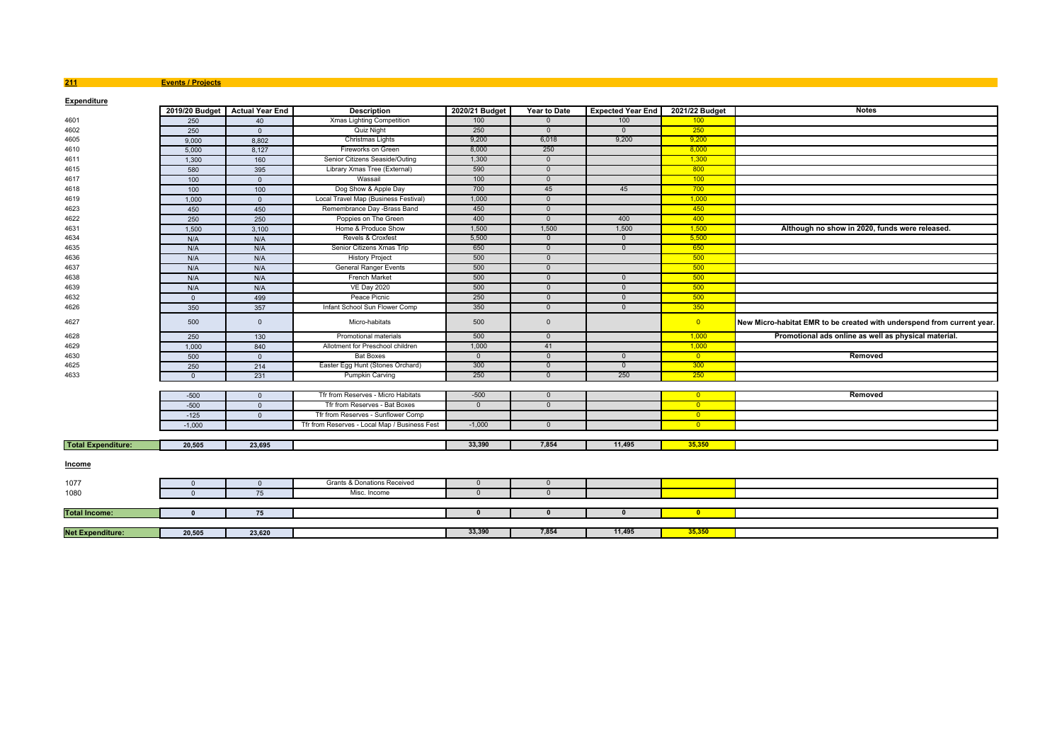### **211 Events / Projects**

| <b>Expenditure</b>        |                |                                |                                               |                |                     |                          |                         |                                                                        |
|---------------------------|----------------|--------------------------------|-----------------------------------------------|----------------|---------------------|--------------------------|-------------------------|------------------------------------------------------------------------|
|                           |                | 2019/20 Budget Actual Year End | <b>Description</b>                            | 2020/21 Budget | <b>Year to Date</b> | <b>Expected Year End</b> | 2021/22 Budget          | <b>Notes</b>                                                           |
| 4601                      | 250            | 40                             | Xmas Lighting Competition                     | 100            | $\Omega$            | 100                      | 100                     |                                                                        |
| 4602                      | 250            | $\overline{0}$                 | Quiz Night                                    | 250            | $\overline{0}$      | $\overline{0}$           | 250                     |                                                                        |
| 4605                      | 9,000          | 8.802                          | Christmas Lights                              | 9,200          | 6,018               | 9,200                    | 9.200                   |                                                                        |
| 4610                      | 5,000          | 8,127                          | Fireworks on Green                            | 8,000          | 250                 |                          | 8,000                   |                                                                        |
| 4611                      | 1,300          | 160                            | Senior Citizens Seaside/Outing                | 1,300          | $\overline{0}$      |                          | 1,300                   |                                                                        |
| 4615                      | 580            | 395                            | Library Xmas Tree (External)                  | 590            | $\overline{0}$      |                          | 800                     |                                                                        |
| 4617                      | 100            | $\overline{0}$                 | Wassail                                       | 100            | $\overline{0}$      |                          | 100                     |                                                                        |
| 4618                      | 100            | 100                            | Dog Show & Apple Day                          | 700            | 45                  | 45                       | 700                     |                                                                        |
| 4619                      | 1,000          | $\overline{0}$                 | Local Travel Map (Business Festival)          | 1,000          | $\overline{0}$      |                          | 1,000                   |                                                                        |
| 4623                      | 450            | 450                            | Remembrance Day -Brass Band                   | 450            | $\overline{0}$      |                          | 450                     |                                                                        |
| 4622                      | 250            | 250                            | Poppies on The Green                          | 400            | $\overline{0}$      | 400                      | 400                     |                                                                        |
| 4631                      | 1,500          | 3,100                          | Home & Produce Show                           | 1,500          | 1,500               | 1,500                    | 1,500                   | Although no show in 2020, funds were released.                         |
| 4634                      | N/A            | N/A                            | Revels & Croxfest                             | 5,500          | $\overline{0}$      | $\overline{0}$           | 5,500                   |                                                                        |
| 4635                      | N/A            | N/A                            | Senior Citizens Xmas Trip                     | 650            | $\overline{0}$      | $\overline{0}$           | 650                     |                                                                        |
| 4636                      | N/A            | N/A                            | <b>History Project</b>                        | 500            | $\overline{0}$      |                          | 500                     |                                                                        |
| 4637                      | N/A            | N/A                            | <b>General Ranger Events</b>                  | 500            | $\overline{0}$      |                          | 500                     |                                                                        |
| 4638                      | N/A            | N/A                            | <b>French Market</b>                          | 500            | $\overline{0}$      | $\mathbf{0}$             | 500                     |                                                                        |
| 4639                      | N/A            | N/A                            | <b>VE Day 2020</b>                            | 500            | - 0                 | $\Omega$                 | 500                     |                                                                        |
| 4632                      | $\overline{0}$ | 499                            | Peace Picnic                                  | 250            | $\overline{0}$      | $\overline{0}$           | 500                     |                                                                        |
| 4626                      | 350            | 357                            | Infant School Sun Flower Comp                 | 350            | $\overline{0}$      | $\overline{0}$           | 350                     |                                                                        |
| 4627                      | 500            | $\overline{0}$                 | Micro-habitats                                | 500            | $\overline{0}$      |                          | $\overline{\mathbf{0}}$ | New Micro-habitat EMR to be created with underspend from current year. |
| 4628                      | 250            | 130                            | Promotional materials                         | 500            | $\overline{0}$      |                          | 1,000                   | Promotional ads online as well as physical material.                   |
| 4629                      | 1,000          | 840                            | Allotment for Preschool children              | 1,000          | 41                  |                          | 1,000                   |                                                                        |
| 4630                      | 500            | $\overline{0}$                 | <b>Bat Boxes</b>                              | $\mathbf{0}$   | $\overline{0}$      | $\overline{0}$           | $\overline{0}$          | Removed                                                                |
| 4625                      | 250            | 214                            | Easter Egg Hunt (Stones Orchard)              | 300            | $\overline{0}$      | $\overline{0}$           | 300                     |                                                                        |
| 4633                      | $\Omega$       | 231                            | Pumpkin Carving                               | 250            | $\overline{0}$      | 250                      | 250                     |                                                                        |
|                           |                |                                |                                               |                |                     |                          |                         |                                                                        |
|                           | $-500$         | $\overline{0}$                 | Tfr from Reserves - Micro Habitats            | $-500$         | $\overline{0}$      |                          | $\overline{\mathbf{0}}$ | Removed                                                                |
|                           | $-500$         | $\overline{\mathbf{0}}$        | Tfr from Reserves - Bat Boxes                 | $\mathbf{0}$   | $\overline{0}$      |                          | $\overline{\mathbf{0}}$ |                                                                        |
|                           | $-125$         | $\overline{0}$                 | Tfr from Reserves - Sunflower Comp            |                |                     |                          | $\overline{0}$          |                                                                        |
|                           | $-1,000$       |                                | Tfr from Reserves - Local Map / Business Fest | $-1,000$       | $\overline{0}$      |                          | $\overline{0}$          |                                                                        |
|                           |                |                                |                                               |                |                     |                          |                         |                                                                        |
| <b>Total Expenditure:</b> | 20,505         | 23,695                         |                                               | 33,390         | 7,854               | 11,495                   | 35,350                  |                                                                        |
| <b>Income</b>             |                |                                |                                               |                |                     |                          |                         |                                                                        |
| 1077                      | $\mathbf{0}$   | $\overline{0}$                 | Grants & Donations Received                   | $\mathbf{0}$   | $\overline{0}$      |                          |                         |                                                                        |
| 1080                      | $\Omega$       | 75                             | Misc. Income                                  | $\Omega$       | - 0                 |                          |                         |                                                                        |
|                           |                |                                |                                               |                |                     |                          |                         |                                                                        |
| <b>Total Income:</b>      | $\Omega$       | 75                             |                                               | $\mathbf{0}$   | $\mathbf{0}$        | $\mathbf{0}$             | $\overline{0}$          |                                                                        |
|                           |                |                                |                                               |                |                     |                          |                         |                                                                        |
| <b>Net Expenditure:</b>   | 20,505         | 23,620                         |                                               | 33,390         | 7,854               | 11,495                   | 35,350                  |                                                                        |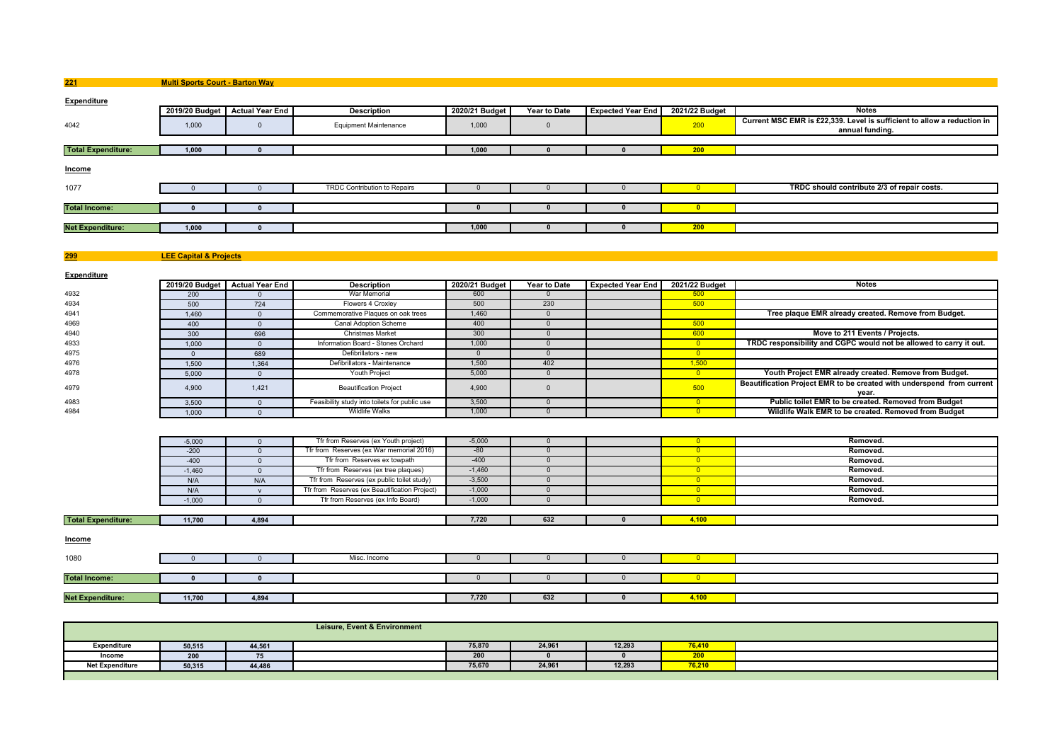**221Multi Sports Court - Barton Way**

| <b>Expenditure</b>        |       |                                |                                     |                |              |                          |                |                                                                                            |
|---------------------------|-------|--------------------------------|-------------------------------------|----------------|--------------|--------------------------|----------------|--------------------------------------------------------------------------------------------|
|                           |       | 2019/20 Budget Actual Year End | <b>Description</b>                  | 2020/21 Budget | Year to Date | <b>Expected Year End</b> | 2021/22 Budget | <b>Notes</b>                                                                               |
| 4042                      | 1,000 |                                | <b>Equipment Maintenance</b>        | 1,000          |              |                          | 200            | Current MSC EMR is £22,339. Level is sufficient to allow a reduction in<br>annual funding. |
|                           |       |                                |                                     |                |              |                          |                |                                                                                            |
| <b>Total Expenditure:</b> | 1,000 |                                |                                     | 1,000          |              |                          | 200            |                                                                                            |
| <b>Income</b>             |       |                                |                                     |                |              |                          |                |                                                                                            |
| 1077                      |       |                                | <b>TRDC Contribution to Repairs</b> |                |              |                          |                | TRDC should contribute 2/3 of repair costs.                                                |
|                           |       |                                |                                     |                |              |                          |                |                                                                                            |
| <b>Total Income:</b>      |       |                                |                                     |                |              |                          |                |                                                                                            |
|                           |       |                                |                                     |                |              |                          |                |                                                                                            |
| <b>Net Expenditure:</b>   | 1,000 |                                |                                     | 1,000          |              |                          | 200            |                                                                                            |
|                           |       |                                |                                     |                |              |                          |                |                                                                                            |

**299LEE Capital & Projects**

**Expenditure**

|      |       | 2019/20 Budget Actual Year End | <b>Description</b>                            | 2020/21 Budget | Year to Date | <b>Expected Year End</b> | 2021/22 Budget | <b>Notes</b>                                                                   |
|------|-------|--------------------------------|-----------------------------------------------|----------------|--------------|--------------------------|----------------|--------------------------------------------------------------------------------|
| 4932 | 200   |                                | War Memorial                                  | 600            |              |                          |                |                                                                                |
| 4934 | 500   | 724                            | Flowers 4 Croxley                             | 500            | 230          |                          | 500            |                                                                                |
| 4941 | 1.460 |                                | Commemorative Plaques on oak trees            | 1,460          |              |                          |                | Tree plaque EMR already created. Remove from Budget.                           |
| 4969 | 400   |                                | Canal Adoption Scheme                         | 400            |              |                          | 500            |                                                                                |
| 4940 | 300   | 696                            | <b>Christmas Market</b>                       | 300            |              |                          |                | Move to 211 Events / Projects.                                                 |
| 4933 | 1.000 |                                | Information Board - Stones Orchard            | 1.000          |              |                          |                | TRDC responsibility and CGPC would not be allowed to carry it out.             |
| 4975 |       | 689                            | Defibrillators - new                          |                |              |                          |                |                                                                                |
| 4976 | 1.500 | 1.364                          | Defibrillators - Maintenance                  | 1.500          | 402          |                          | 1.500          |                                                                                |
| 4978 | 5.000 |                                | <b>Youth Project</b>                          | 5.000          |              |                          |                | Youth Project EMR already created. Remove from Budget.                         |
| 4979 | 4.900 | 1.421                          | <b>Beautification Project</b>                 | 4.900          |              |                          | 500            | Beautification Project EMR to be created with underspend from current<br>vear. |
| 4983 | 3.500 |                                | Feasibility study into toilets for public use | 3,500          |              |                          |                | Public toilet EMR to be created. Removed from Budget                           |
| 4984 | 1.000 |                                | <b>Wildlife Walks</b>                         | 1,000          |              |                          |                | Wildlife Walk EMR to be created. Removed from Budget                           |

| <b>Total Expenditure:</b> | 11,700   | 4,894 |                                               | 7,720    | 632 | 4,100 |          |
|---------------------------|----------|-------|-----------------------------------------------|----------|-----|-------|----------|
|                           |          |       |                                               |          |     |       |          |
|                           | $-1,000$ |       | Tfr from Reserves (ex Info Board)             | $-1.000$ |     |       | Removed. |
|                           | N/A      |       | Tfr from Reserves (ex Beautification Project) | $-1,000$ |     |       | Removed. |
|                           | N/A      | N/A   | Tfr from Reserves (ex public toilet study)    | $-3,500$ |     |       | Removed. |
|                           | $-1,460$ |       | Tfr from Reserves (ex tree plaques)           | $-1,460$ |     |       | Removed. |
|                           | $-400$   |       | Tfr from Reserves ex towpath                  | $-400$   |     |       | Removed. |
|                           | $-200$   |       | Tfr from Reserves (ex War memorial 2016)      | $-80$    |     |       | Removed. |
|                           | $-5,000$ |       | Tfr from Reserves (ex Youth project)          | $-5,000$ |     |       | Removed. |

**Income**

| 1080                    |        |       | Misc. Income |       |     |       |  |
|-------------------------|--------|-------|--------------|-------|-----|-------|--|
| <b>Total Income:</b>    |        |       |              |       |     |       |  |
| <b>Net Expenditure:</b> | 11,700 | 4,894 |              | 7,720 | 632 | 4.100 |  |

|                        | Leisure, Event & Environment |        |  |        |        |        |        |  |  |  |  |  |
|------------------------|------------------------------|--------|--|--------|--------|--------|--------|--|--|--|--|--|
| Expenditure            | 50,515                       | 44.56  |  | 75,870 | 24,961 | 12,293 | 76.410 |  |  |  |  |  |
| Income                 | 200                          |        |  | 200    |        |        |        |  |  |  |  |  |
| <b>Net Expenditure</b> | 50,315                       | 44,486 |  | 75,670 | 24,961 | 12,293 | 76.210 |  |  |  |  |  |
|                        |                              |        |  |        |        |        |        |  |  |  |  |  |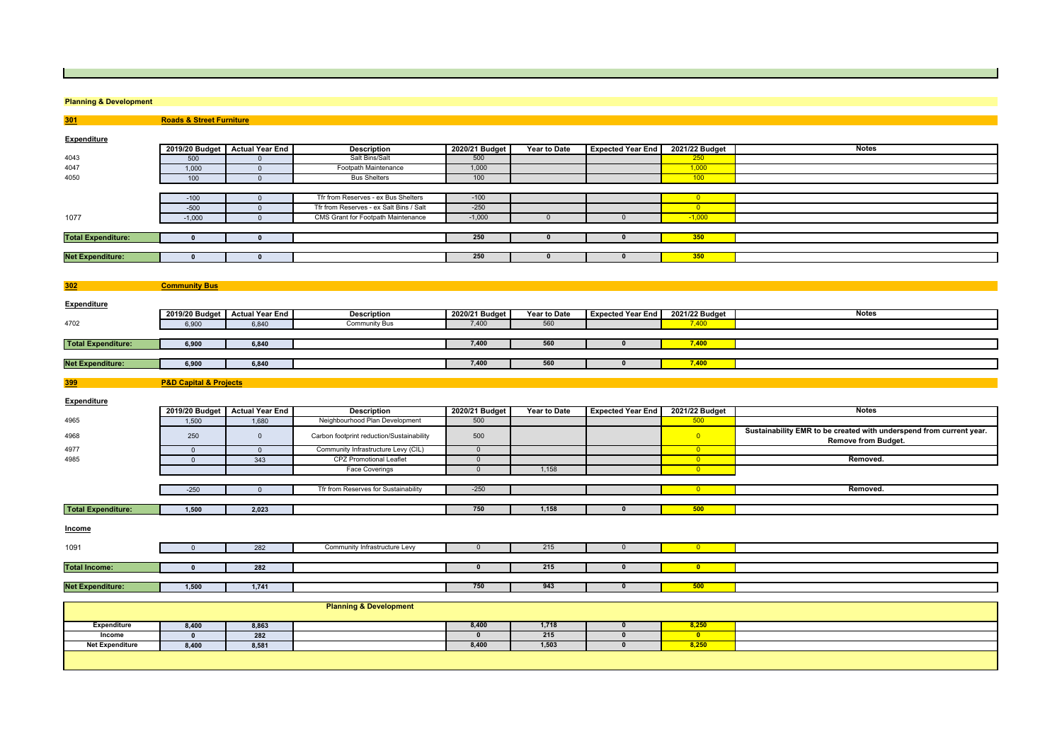### **Planning & Development**

**301 Roads & Street Furniture Expenditure2019/20 Budget Actual Year End Description 2020/21 Budget Year to Date Expected Year End 2021/22 Budget Notes** 4043 <sup>500</sup> <sup>0</sup> Salt Bins/Salt <sup>500</sup> <sup>250</sup> 40471,000 0 Footpath Maintenance 1,000 1,000 1,000 1,000 1,000 1,000 1,000 1,000 1,000 1,000 1,000 1,000 1,000 1,000 1,000 1,000 1,000 1,000 1,000 1,000 1,000 1,000 1,000 1,000 1,000 1,000 1,000 1,000 1,000 1,000 1,000 1,000 1 4050 <sup>100</sup> <sup>0</sup> Bus Shelters <sup>100</sup> <sup>100</sup> -100 <sup>0</sup> Tfr from Reserves - ex Bus Shelters -100 <sup>0</sup> -500 0 0 Tfr from Reserves - ex Salt Bins / Salt - 250 0 0 0 0 0 0 0 0 100 0 100 0 100 0 100 0 100 100 100 100<br>-1,000 0 0 CMS Grant for Footpath Maintenance - 1,000 0 0 0 0 10 1,000 1 1,000 1077-1,000 0 CMS Grant for Footpath Maintenance 1,000 0 0 0 1 -1,000 **Total Expenditure: <sup>0</sup> <sup>0</sup> <sup>250</sup> <sup>0</sup> <sup>0</sup> <sup>350</sup> Net Expenditure: <sup>0</sup> <sup>0</sup> <sup>250</sup> <sup>0</sup> <sup>0</sup> <sup>350</sup> 302 Community Bus Expenditure2019/20 Budget Actual Year End Description 2020/21 Budget Year to Date Expected Year End 2021/22 Budget Notes** 47026,900 6,840 Community Bus 7,400 560 560 7,400 560  **Total Expenditure: 6,900 6,840 7,400 <sup>560</sup> <sup>0</sup> 7,400 Net Expenditure: 6,900 6,840 7,400 <sup>560</sup> <sup>0</sup> 7,400 399 P&D Capital & Projects Expenditure2019/20 Budget Actual Year End Description 2020/21 Budget Year to Date Expected Year End 2021/22 Budget Notes** 4965 1,500 1,680 Neighbourhood Plan Development <sup>500</sup> <sup>500</sup> ages and the Carbon footprint reduction/Sustainability 500 500 0 0 0 **Sustainability EMR to be created with underspend from current year.** 4977 <sup>0</sup> <sup>0</sup> Community Infrastructure Levy (CIL) <sup>0</sup> <sup>0</sup> 4985 <sup>0</sup> <sup>343</sup> CPZ Promotional Leaflet <sup>0</sup> <sup>0</sup> **Removed.** Face Coverings 0 1,158 <mark> 0</mark> -250 0 0 Tfr from Reserves for Sustainability -250 250 0 0 0 0 0 0 0 0 **Removed. Total Expenditure: 1,500 2,023 <sup>750</sup> 1,158 <sup>0</sup> <sup>500</sup> Income**10910 282 Community Infrastructure Levy 0 0 215 0 0 0 0 **Total Income: <sup>0</sup> <sup>282</sup> <sup>0</sup> <sup>215</sup> <sup>0</sup> <sup>0</sup> Net Expenditure: 1,500 1,741 <sup>750</sup> <sup>943</sup> <sup>0</sup> <sup>500</sup> Planning & Development Expenditure 8,400 8,863 8,400 1,718 <sup>0</sup> 8,250 Income <sup>0</sup> <sup>282</sup> <sup>0</sup> <sup>215</sup> <sup>0</sup> <sup>0</sup> Net Expenditure8,400 8,581 8,400 1,503 <sup>0</sup> 8,250**